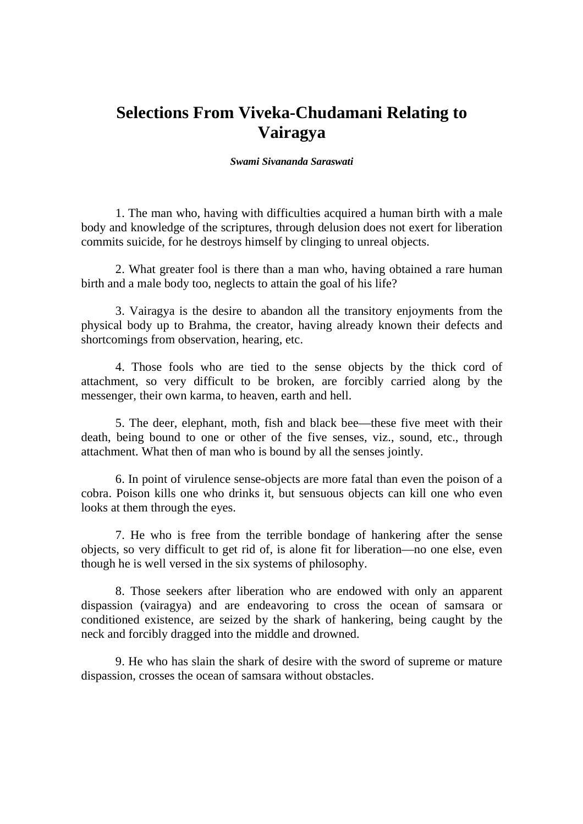## **Selections From Viveka-Chudamani Relating to Vairagya**

## *Swami Sivananda Saraswati*

1. The man who, having with difficulties acquired a human birth with a male body and knowledge of the scriptures, through delusion does not exert for liberation commits suicide, for he destroys himself by clinging to unreal objects.

2. What greater fool is there than a man who, having obtained a rare human birth and a male body too, neglects to attain the goal of his life?

3. Vairagya is the desire to abandon all the transitory enjoyments from the physical body up to Brahma, the creator, having already known their defects and shortcomings from observation, hearing, etc.

4. Those fools who are tied to the sense objects by the thick cord of attachment, so very difficult to be broken, are forcibly carried along by the messenger, their own karma, to heaven, earth and hell.

5. The deer, elephant, moth, fish and black bee—these five meet with their death, being bound to one or other of the five senses, viz., sound, etc., through attachment. What then of man who is bound by all the senses jointly.

6. In point of virulence sense-objects are more fatal than even the poison of a cobra. Poison kills one who drinks it, but sensuous objects can kill one who even looks at them through the eyes.

7. He who is free from the terrible bondage of hankering after the sense objects, so very difficult to get rid of, is alone fit for liberation—no one else, even though he is well versed in the six systems of philosophy.

8. Those seekers after liberation who are endowed with only an apparent dispassion (vairagya) and are endeavoring to cross the ocean of samsara or conditioned existence, are seized by the shark of hankering, being caught by the neck and forcibly dragged into the middle and drowned.

9. He who has slain the shark of desire with the sword of supreme or mature dispassion, crosses the ocean of samsara without obstacles.